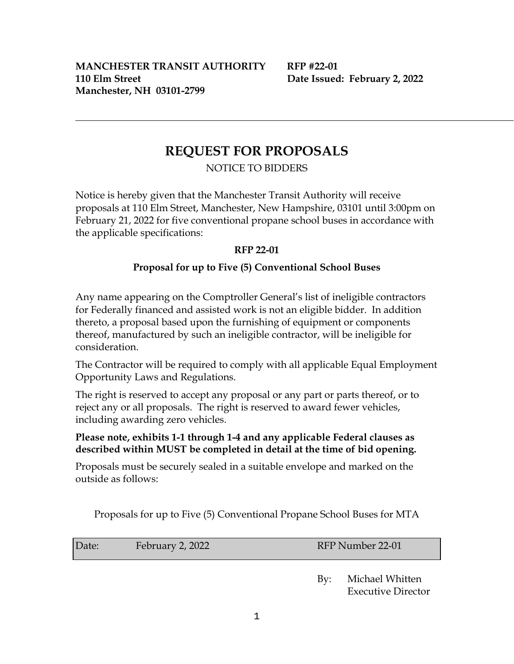# **REQUEST FOR PROPOSALS**

NOTICE TO BIDDERS

Notice is hereby given that the Manchester Transit Authority will receive proposals at 110 Elm Street, Manchester, New Hampshire, 03101 until 3:00pm on February 21, 2022 for five conventional propane school buses in accordance with the applicable specifications:

## **RFP 22-01**

## **Proposal for up to Five (5) Conventional School Buses**

Any name appearing on the Comptroller General's list of ineligible contractors for Federally financed and assisted work is not an eligible bidder. In addition thereto, a proposal based upon the furnishing of equipment or components thereof, manufactured by such an ineligible contractor, will be ineligible for consideration.

The Contractor will be required to comply with all applicable Equal Employment Opportunity Laws and Regulations.

The right is reserved to accept any proposal or any part or parts thereof, or to reject any or all proposals. The right is reserved to award fewer vehicles, including awarding zero vehicles.

### **Please note, exhibits 1-1 through 1-4 and any applicable Federal clauses as described within MUST be completed in detail at the time of bid opening.**

Proposals must be securely sealed in a suitable envelope and marked on the outside as follows:

Proposals for up to Five (5) Conventional Propane School Buses for MTA

| Date: | February 2, 2022 |  |
|-------|------------------|--|
|       |                  |  |

RFP Number 22-01

 By: Michael Whitten Executive Director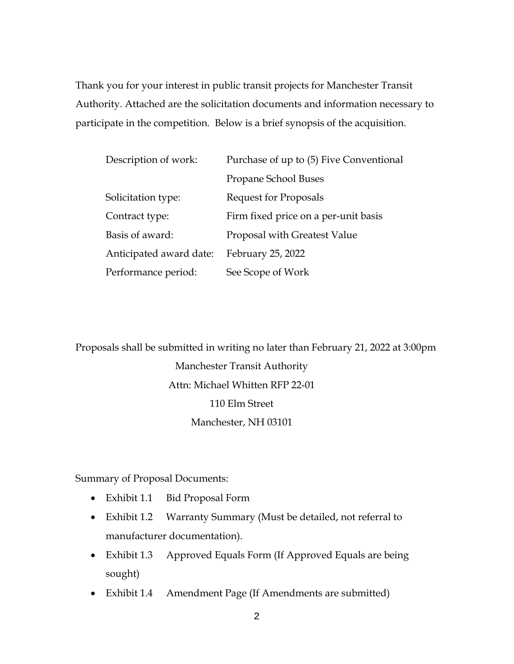Thank you for your interest in public transit projects for Manchester Transit Authority. Attached are the solicitation documents and information necessary to participate in the competition. Below is a brief synopsis of the acquisition.

| Description of work:    | Purchase of up to (5) Five Conventional |
|-------------------------|-----------------------------------------|
|                         | Propane School Buses                    |
| Solicitation type:      | <b>Request for Proposals</b>            |
| Contract type:          | Firm fixed price on a per-unit basis    |
| Basis of award:         | Proposal with Greatest Value            |
| Anticipated award date: | February 25, 2022                       |
| Performance period:     | See Scope of Work                       |

Proposals shall be submitted in writing no later than February 21, 2022 at 3:00pm Manchester Transit Authority Attn: Michael Whitten RFP 22-01 110 Elm Street Manchester, NH 03101

Summary of Proposal Documents:

- Exhibit 1.1 Bid Proposal Form
- Exhibit 1.2 Warranty Summary (Must be detailed, not referral to manufacturer documentation).
- Exhibit 1.3 Approved Equals Form (If Approved Equals are being sought)
- Exhibit 1.4 Amendment Page (If Amendments are submitted)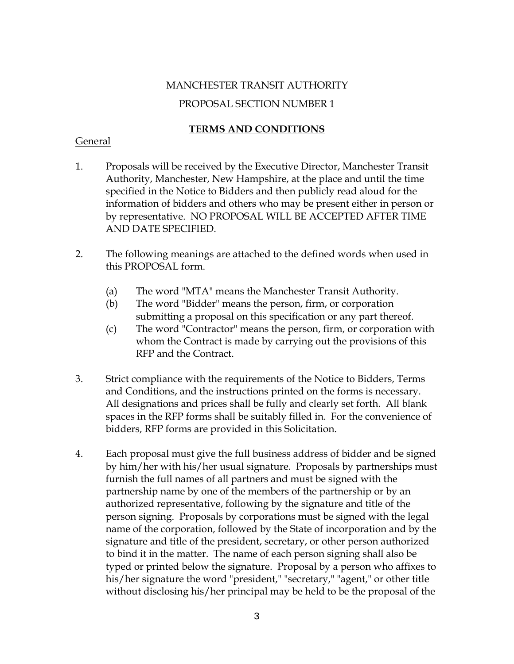# MANCHESTER TRANSIT AUTHORITY PROPOSAL SECTION NUMBER 1

## **TERMS AND CONDITIONS**

#### General

- 1. Proposals will be received by the Executive Director, Manchester Transit Authority, Manchester, New Hampshire, at the place and until the time specified in the Notice to Bidders and then publicly read aloud for the information of bidders and others who may be present either in person or by representative. NO PROPOSAL WILL BE ACCEPTED AFTER TIME AND DATE SPECIFIED.
- 2. The following meanings are attached to the defined words when used in this PROPOSAL form.
	- (a) The word "MTA" means the Manchester Transit Authority.
	- (b) The word "Bidder" means the person, firm, or corporation submitting a proposal on this specification or any part thereof.
	- (c) The word "Contractor" means the person, firm, or corporation with whom the Contract is made by carrying out the provisions of this RFP and the Contract.
- 3. Strict compliance with the requirements of the Notice to Bidders, Terms and Conditions, and the instructions printed on the forms is necessary. All designations and prices shall be fully and clearly set forth. All blank spaces in the RFP forms shall be suitably filled in. For the convenience of bidders, RFP forms are provided in this Solicitation.
- 4. Each proposal must give the full business address of bidder and be signed by him/her with his/her usual signature. Proposals by partnerships must furnish the full names of all partners and must be signed with the partnership name by one of the members of the partnership or by an authorized representative, following by the signature and title of the person signing. Proposals by corporations must be signed with the legal name of the corporation, followed by the State of incorporation and by the signature and title of the president, secretary, or other person authorized to bind it in the matter. The name of each person signing shall also be typed or printed below the signature. Proposal by a person who affixes to his/her signature the word "president," "secretary," "agent," or other title without disclosing his/her principal may be held to be the proposal of the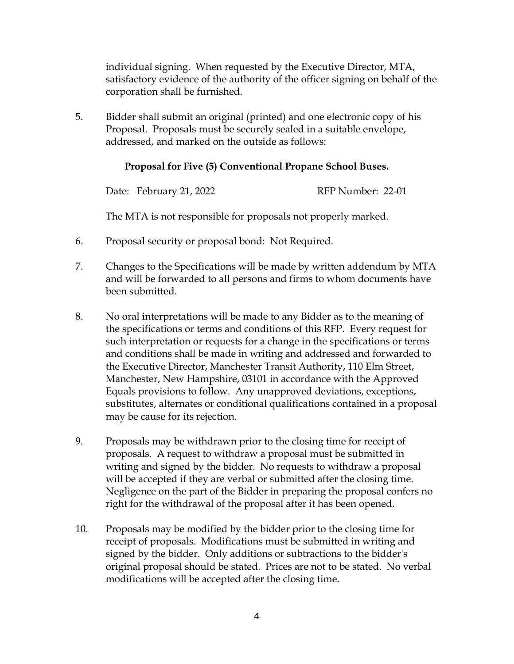individual signing. When requested by the Executive Director, MTA, satisfactory evidence of the authority of the officer signing on behalf of the corporation shall be furnished.

5. Bidder shall submit an original (printed) and one electronic copy of his Proposal. Proposals must be securely sealed in a suitable envelope, addressed, and marked on the outside as follows:

### **Proposal for Five (5) Conventional Propane School Buses.**

Date: February 21, 2022 RFP Number: 22-01

The MTA is not responsible for proposals not properly marked.

- 6. Proposal security or proposal bond: Not Required.
- 7. Changes to the Specifications will be made by written addendum by MTA and will be forwarded to all persons and firms to whom documents have been submitted.
- 8. No oral interpretations will be made to any Bidder as to the meaning of the specifications or terms and conditions of this RFP. Every request for such interpretation or requests for a change in the specifications or terms and conditions shall be made in writing and addressed and forwarded to the Executive Director, Manchester Transit Authority, 110 Elm Street, Manchester, New Hampshire, 03101 in accordance with the Approved Equals provisions to follow. Any unapproved deviations, exceptions, substitutes, alternates or conditional qualifications contained in a proposal may be cause for its rejection.
- 9. Proposals may be withdrawn prior to the closing time for receipt of proposals. A request to withdraw a proposal must be submitted in writing and signed by the bidder. No requests to withdraw a proposal will be accepted if they are verbal or submitted after the closing time. Negligence on the part of the Bidder in preparing the proposal confers no right for the withdrawal of the proposal after it has been opened.
- 10. Proposals may be modified by the bidder prior to the closing time for receipt of proposals. Modifications must be submitted in writing and signed by the bidder. Only additions or subtractions to the bidder's original proposal should be stated. Prices are not to be stated. No verbal modifications will be accepted after the closing time.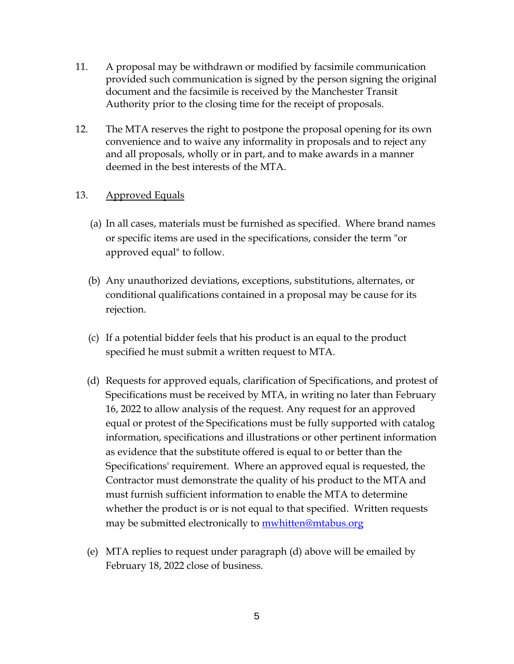- 11. A proposal may be withdrawn or modified by facsimile communication provided such communication is signed by the person signing the original document and the facsimile is received by the Manchester Transit Authority prior to the closing time for the receipt of proposals.
- 12. The MTA reserves the right to postpone the proposal opening for its own convenience and to waive any informality in proposals and to reject any and all proposals, wholly or in part, and to make awards in a manner deemed in the best interests of the MTA.

#### 13. Approved Equals

- (a) In all cases, materials must be furnished as specified. Where brand names or specific items are used in the specifications, consider the term "or approved equal" to follow.
- (b) Any unauthorized deviations, exceptions, substitutions, alternates, or conditional qualifications contained in a proposal may be cause for its rejection.
- (c) If a potential bidder feels that his product is an equal to the product specified he must submit a written request to MTA.
- (d) Requests for approved equals, clarification of Specifications, and protest of Specifications must be received by MTA, in writing no later than February 16, 2022 to allow analysis of the request. Any request for an approved equal or protest of the Specifications must be fully supported with catalog information, specifications and illustrations or other pertinent information as evidence that the substitute offered is equal to or better than the Specifications' requirement. Where an approved equal is requested, the Contractor must demonstrate the quality of his product to the MTA and must furnish sufficient information to enable the MTA to determine whether the product is or is not equal to that specified. Written requests may be submitted electronically to mwhitten@mtabus.org
- (e) MTA replies to request under paragraph (d) above will be emailed by February 18, 2022 close of business.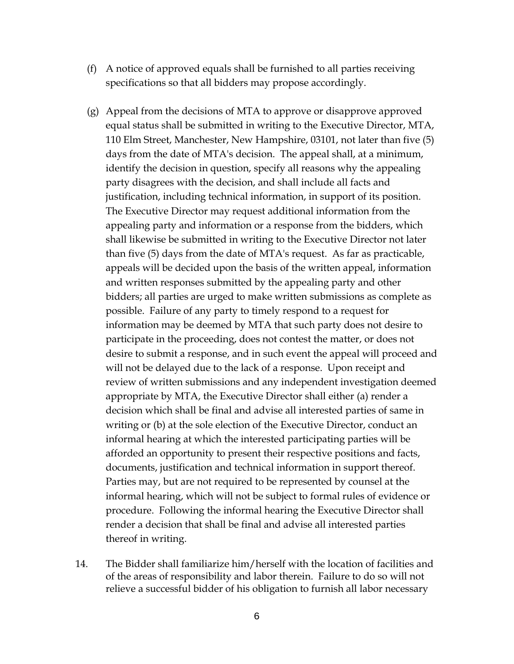- (f) A notice of approved equals shall be furnished to all parties receiving specifications so that all bidders may propose accordingly.
- (g) Appeal from the decisions of MTA to approve or disapprove approved equal status shall be submitted in writing to the Executive Director, MTA, 110 Elm Street, Manchester, New Hampshire, 03101, not later than five (5) days from the date of MTA's decision. The appeal shall, at a minimum, identify the decision in question, specify all reasons why the appealing party disagrees with the decision, and shall include all facts and justification, including technical information, in support of its position. The Executive Director may request additional information from the appealing party and information or a response from the bidders, which shall likewise be submitted in writing to the Executive Director not later than five (5) days from the date of MTA's request. As far as practicable, appeals will be decided upon the basis of the written appeal, information and written responses submitted by the appealing party and other bidders; all parties are urged to make written submissions as complete as possible. Failure of any party to timely respond to a request for information may be deemed by MTA that such party does not desire to participate in the proceeding, does not contest the matter, or does not desire to submit a response, and in such event the appeal will proceed and will not be delayed due to the lack of a response. Upon receipt and review of written submissions and any independent investigation deemed appropriate by MTA, the Executive Director shall either (a) render a decision which shall be final and advise all interested parties of same in writing or (b) at the sole election of the Executive Director, conduct an informal hearing at which the interested participating parties will be afforded an opportunity to present their respective positions and facts, documents, justification and technical information in support thereof. Parties may, but are not required to be represented by counsel at the informal hearing, which will not be subject to formal rules of evidence or procedure. Following the informal hearing the Executive Director shall render a decision that shall be final and advise all interested parties thereof in writing.
- 14. The Bidder shall familiarize him/herself with the location of facilities and of the areas of responsibility and labor therein. Failure to do so will not relieve a successful bidder of his obligation to furnish all labor necessary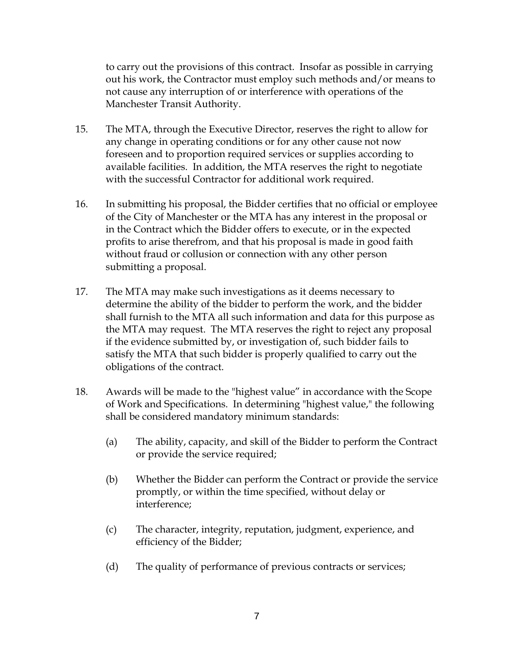to carry out the provisions of this contract. Insofar as possible in carrying out his work, the Contractor must employ such methods and/or means to not cause any interruption of or interference with operations of the Manchester Transit Authority.

- 15. The MTA, through the Executive Director, reserves the right to allow for any change in operating conditions or for any other cause not now foreseen and to proportion required services or supplies according to available facilities. In addition, the MTA reserves the right to negotiate with the successful Contractor for additional work required.
- 16. In submitting his proposal, the Bidder certifies that no official or employee of the City of Manchester or the MTA has any interest in the proposal or in the Contract which the Bidder offers to execute, or in the expected profits to arise therefrom, and that his proposal is made in good faith without fraud or collusion or connection with any other person submitting a proposal.
- 17. The MTA may make such investigations as it deems necessary to determine the ability of the bidder to perform the work, and the bidder shall furnish to the MTA all such information and data for this purpose as the MTA may request. The MTA reserves the right to reject any proposal if the evidence submitted by, or investigation of, such bidder fails to satisfy the MTA that such bidder is properly qualified to carry out the obligations of the contract.
- 18. Awards will be made to the "highest value" in accordance with the Scope of Work and Specifications. In determining "highest value," the following shall be considered mandatory minimum standards:
	- (a) The ability, capacity, and skill of the Bidder to perform the Contract or provide the service required;
	- (b) Whether the Bidder can perform the Contract or provide the service promptly, or within the time specified, without delay or interference;
	- (c) The character, integrity, reputation, judgment, experience, and efficiency of the Bidder;
	- (d) The quality of performance of previous contracts or services;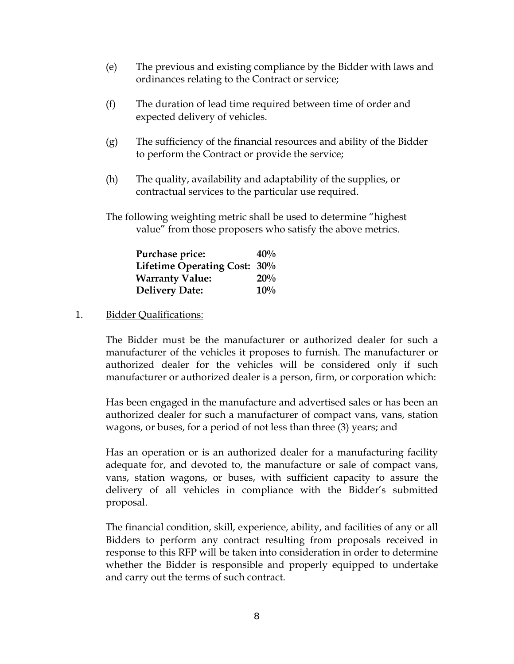- (e) The previous and existing compliance by the Bidder with laws and ordinances relating to the Contract or service;
- (f) The duration of lead time required between time of order and expected delivery of vehicles.
- (g) The sufficiency of the financial resources and ability of the Bidder to perform the Contract or provide the service;
- (h) The quality, availability and adaptability of the supplies, or contractual services to the particular use required.
- The following weighting metric shall be used to determine "highest value" from those proposers who satisfy the above metrics.

| Purchase price:              | 40% |
|------------------------------|-----|
| Lifetime Operating Cost: 30% |     |
| <b>Warranty Value:</b>       | 20% |
| <b>Delivery Date:</b>        | 10% |

#### 1. Bidder Qualifications:

The Bidder must be the manufacturer or authorized dealer for such a manufacturer of the vehicles it proposes to furnish. The manufacturer or authorized dealer for the vehicles will be considered only if such manufacturer or authorized dealer is a person, firm, or corporation which:

Has been engaged in the manufacture and advertised sales or has been an authorized dealer for such a manufacturer of compact vans, vans, station wagons, or buses, for a period of not less than three (3) years; and

Has an operation or is an authorized dealer for a manufacturing facility adequate for, and devoted to, the manufacture or sale of compact vans, vans, station wagons, or buses, with sufficient capacity to assure the delivery of all vehicles in compliance with the Bidder's submitted proposal.

The financial condition, skill, experience, ability, and facilities of any or all Bidders to perform any contract resulting from proposals received in response to this RFP will be taken into consideration in order to determine whether the Bidder is responsible and properly equipped to undertake and carry out the terms of such contract.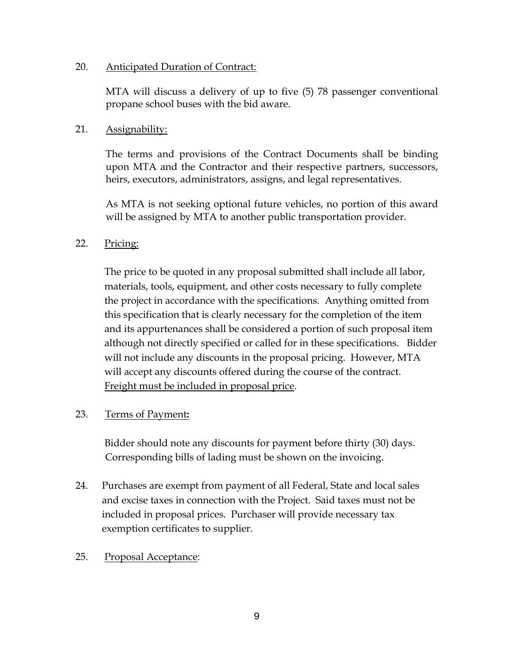#### 20. Anticipated Duration of Contract:

MTA will discuss a delivery of up to five (5) 78 passenger conventional propane school buses with the bid aware.

#### 21. Assignability:

The terms and provisions of the Contract Documents shall be binding upon MTA and the Contractor and their respective partners, successors, heirs, executors, administrators, assigns, and legal representatives.

As MTA is not seeking optional future vehicles, no portion of this award will be assigned by MTA to another public transportation provider.

#### 22. Pricing:

The price to be quoted in any proposal submitted shall include all labor, materials, tools, equipment, and other costs necessary to fully complete the project in accordance with the specifications. Anything omitted from this specification that is clearly necessary for the completion of the item and its appurtenances shall be considered a portion of such proposal item although not directly specified or called for in these specifications. Bidder will not include any discounts in the proposal pricing. However, MTA will accept any discounts offered during the course of the contract. Freight must be included in proposal price.

#### 23. Terms of Payment**:**

 Bidder should note any discounts for payment before thirty (30) days. Corresponding bills of lading must be shown on the invoicing.

- 24. Purchases are exempt from payment of all Federal, State and local sales and excise taxes in connection with the Project. Said taxes must not be included in proposal prices. Purchaser will provide necessary tax exemption certificates to supplier.
- 25. Proposal Acceptance: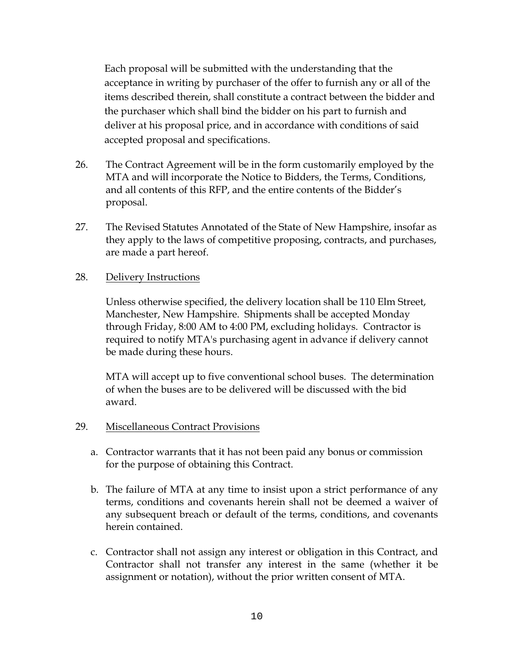Each proposal will be submitted with the understanding that the acceptance in writing by purchaser of the offer to furnish any or all of the items described therein, shall constitute a contract between the bidder and the purchaser which shall bind the bidder on his part to furnish and deliver at his proposal price, and in accordance with conditions of said accepted proposal and specifications.

- 26. The Contract Agreement will be in the form customarily employed by the MTA and will incorporate the Notice to Bidders, the Terms, Conditions, and all contents of this RFP, and the entire contents of the Bidder's proposal.
- 27. The Revised Statutes Annotated of the State of New Hampshire, insofar as they apply to the laws of competitive proposing, contracts, and purchases, are made a part hereof.
- 28. Delivery Instructions

 Unless otherwise specified, the delivery location shall be 110 Elm Street, Manchester, New Hampshire. Shipments shall be accepted Monday through Friday, 8:00 AM to 4:00 PM, excluding holidays. Contractor is required to notify MTA's purchasing agent in advance if delivery cannot be made during these hours.

 MTA will accept up to five conventional school buses. The determination of when the buses are to be delivered will be discussed with the bid award.

- 29. Miscellaneous Contract Provisions
	- a. Contractor warrants that it has not been paid any bonus or commission for the purpose of obtaining this Contract.
	- b. The failure of MTA at any time to insist upon a strict performance of any terms, conditions and covenants herein shall not be deemed a waiver of any subsequent breach or default of the terms, conditions, and covenants herein contained.
	- c. Contractor shall not assign any interest or obligation in this Contract, and Contractor shall not transfer any interest in the same (whether it be assignment or notation), without the prior written consent of MTA.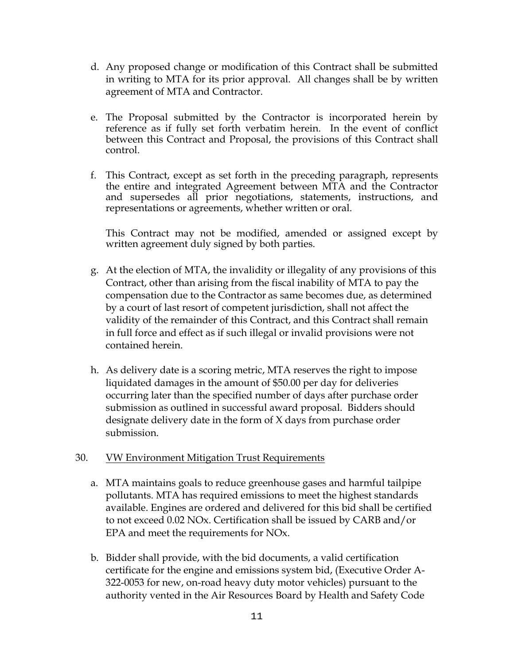- d. Any proposed change or modification of this Contract shall be submitted in writing to MTA for its prior approval. All changes shall be by written agreement of MTA and Contractor.
- e. The Proposal submitted by the Contractor is incorporated herein by reference as if fully set forth verbatim herein. In the event of conflict between this Contract and Proposal, the provisions of this Contract shall control.
- f. This Contract, except as set forth in the preceding paragraph, represents the entire and integrated Agreement between MTA and the Contractor and supersedes all prior negotiations, statements, instructions, and representations or agreements, whether written or oral.

This Contract may not be modified, amended or assigned except by written agreement duly signed by both parties.

- g. At the election of MTA, the invalidity or illegality of any provisions of this Contract, other than arising from the fiscal inability of MTA to pay the compensation due to the Contractor as same becomes due, as determined by a court of last resort of competent jurisdiction, shall not affect the validity of the remainder of this Contract, and this Contract shall remain in full force and effect as if such illegal or invalid provisions were not contained herein.
- h. As delivery date is a scoring metric, MTA reserves the right to impose liquidated damages in the amount of \$50.00 per day for deliveries occurring later than the specified number of days after purchase order submission as outlined in successful award proposal. Bidders should designate delivery date in the form of X days from purchase order submission.

#### 30. VW Environment Mitigation Trust Requirements

- a. MTA maintains goals to reduce greenhouse gases and harmful tailpipe pollutants. MTA has required emissions to meet the highest standards available. Engines are ordered and delivered for this bid shall be certified to not exceed 0.02 NOx. Certification shall be issued by CARB and/or EPA and meet the requirements for NOx.
- b. Bidder shall provide, with the bid documents, a valid certification certificate for the engine and emissions system bid, (Executive Order A-322-0053 for new, on-road heavy duty motor vehicles) pursuant to the authority vented in the Air Resources Board by Health and Safety Code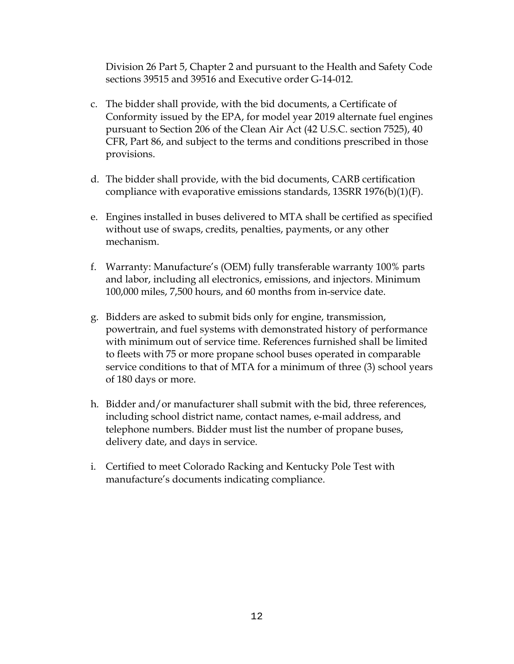Division 26 Part 5, Chapter 2 and pursuant to the Health and Safety Code sections 39515 and 39516 and Executive order G-14-012.

- c. The bidder shall provide, with the bid documents, a Certificate of Conformity issued by the EPA, for model year 2019 alternate fuel engines pursuant to Section 206 of the Clean Air Act (42 U.S.C. section 7525), 40 CFR, Part 86, and subject to the terms and conditions prescribed in those provisions.
- d. The bidder shall provide, with the bid documents, CARB certification compliance with evaporative emissions standards, 13SRR 1976(b)(1)(F).
- e. Engines installed in buses delivered to MTA shall be certified as specified without use of swaps, credits, penalties, payments, or any other mechanism.
- f. Warranty: Manufacture's (OEM) fully transferable warranty 100% parts and labor, including all electronics, emissions, and injectors. Minimum 100,000 miles, 7,500 hours, and 60 months from in-service date.
- g. Bidders are asked to submit bids only for engine, transmission, powertrain, and fuel systems with demonstrated history of performance with minimum out of service time. References furnished shall be limited to fleets with 75 or more propane school buses operated in comparable service conditions to that of MTA for a minimum of three (3) school years of 180 days or more.
- h. Bidder and/or manufacturer shall submit with the bid, three references, including school district name, contact names, e-mail address, and telephone numbers. Bidder must list the number of propane buses, delivery date, and days in service.
- i. Certified to meet Colorado Racking and Kentucky Pole Test with manufacture's documents indicating compliance.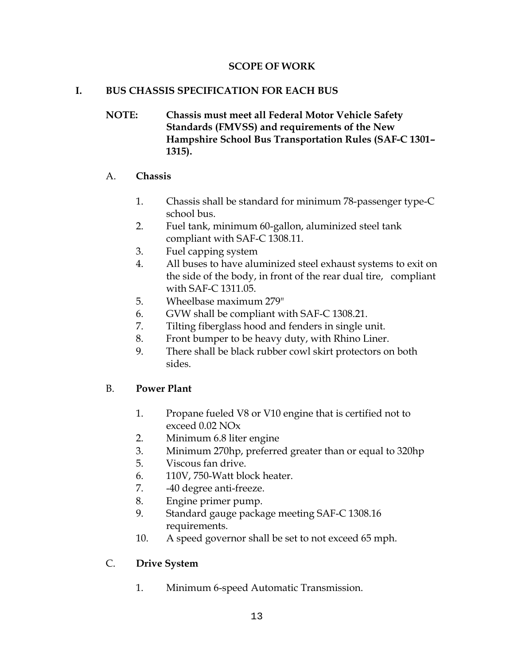### **SCOPE OF WORK**

## **I. BUS CHASSIS SPECIFICATION FOR EACH BUS**

**NOTE: Chassis must meet all Federal Motor Vehicle Safety Standards (FMVSS) and requirements of the New Hampshire School Bus Transportation Rules (SAF-C 1301– 1315).**

### A. **Chassis**

- 1. Chassis shall be standard for minimum 78-passenger type-C school bus.
- 2. Fuel tank, minimum 60-gallon, aluminized steel tank compliant with SAF-C 1308.11.
- 3. Fuel capping system
- 4. All buses to have aluminized steel exhaust systems to exit on the side of the body, in front of the rear dual tire, compliant with SAF-C 1311.05.
- 5. Wheelbase maximum 279"
- 6. GVW shall be compliant with SAF-C 1308.21.
- 7. Tilting fiberglass hood and fenders in single unit.
- 8. Front bumper to be heavy duty, with Rhino Liner.
- 9. There shall be black rubber cowl skirt protectors on both sides.

## B. **Power Plant**

- 1. Propane fueled V8 or V10 engine that is certified not to exceed 0.02 NOx
- 2. Minimum 6.8 liter engine
- 3. Minimum 270hp, preferred greater than or equal to 320hp
- 5. Viscous fan drive.
- 6. 110V, 750-Watt block heater.
- 7. -40 degree anti-freeze.
- 8. Engine primer pump.
- 9. Standard gauge package meeting SAF-C 1308.16 requirements.
- 10. A speed governor shall be set to not exceed 65 mph.

## C. **Drive System**

1. Minimum 6-speed Automatic Transmission.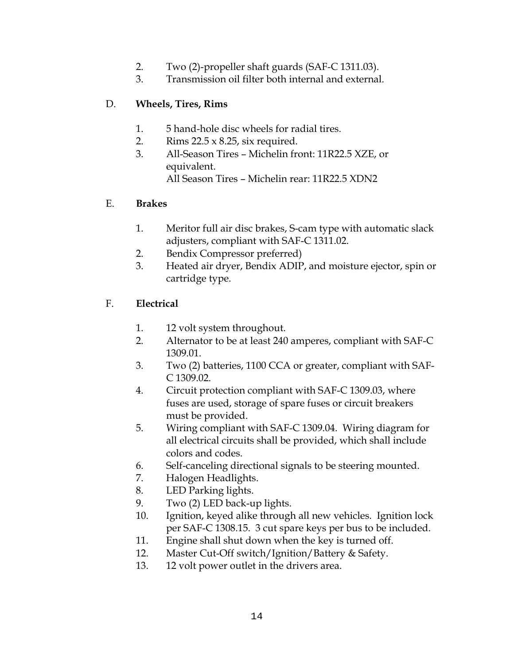- 2. Two (2)-propeller shaft guards (SAF-C 1311.03).
- 3. Transmission oil filter both internal and external.

## D. **Wheels, Tires, Rims**

- 1. 5 hand-hole disc wheels for radial tires.
- 2. Rims 22.5 x 8.25, six required.
- 3. All-Season Tires Michelin front: 11R22.5 XZE, or equivalent. All Season Tires – Michelin rear: 11R22.5 XDN2

## E. **Brakes**

- 1. Meritor full air disc brakes, S-cam type with automatic slack adjusters, compliant with SAF-C 1311.02.
- 2. Bendix Compressor preferred)
- 3. Heated air dryer, Bendix ADIP, and moisture ejector, spin or cartridge type.

## F. **Electrical**

- 1. 12 volt system throughout.
- 2. Alternator to be at least 240 amperes, compliant with SAF-C 1309.01.
- 3. Two (2) batteries, 1100 CCA or greater, compliant with SAF-C 1309.02.
- 4. Circuit protection compliant with SAF-C 1309.03, where fuses are used, storage of spare fuses or circuit breakers must be provided.
- 5. Wiring compliant with SAF-C 1309.04. Wiring diagram for all electrical circuits shall be provided, which shall include colors and codes.
- 6. Self-canceling directional signals to be steering mounted.
- 7. Halogen Headlights.
- 8. LED Parking lights.
- 9. Two (2) LED back-up lights.
- 10. Ignition, keyed alike through all new vehicles. Ignition lock per SAF-C 1308.15. 3 cut spare keys per bus to be included.
- 11. Engine shall shut down when the key is turned off.
- 12. Master Cut-Off switch/Ignition/Battery & Safety.
- 13. 12 volt power outlet in the drivers area.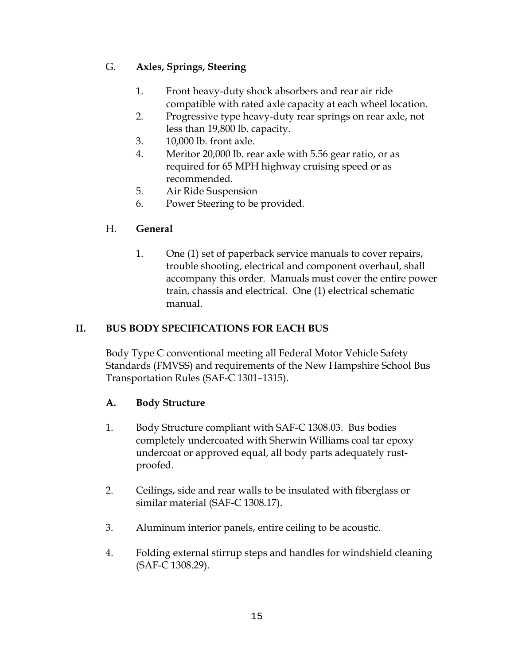## G. **Axles, Springs, Steering**

- 1. Front heavy-duty shock absorbers and rear air ride compatible with rated axle capacity at each wheel location.
- 2. Progressive type heavy-duty rear springs on rear axle, not less than 19,800 lb. capacity.
- 3. 10,000 lb. front axle.
- 4. Meritor 20,000 lb. rear axle with 5.56 gear ratio, or as required for 65 MPH highway cruising speed or as recommended.
- 5. Air Ride Suspension
- 6. Power Steering to be provided.

## H. **General**

1. One (1) set of paperback service manuals to cover repairs, trouble shooting, electrical and component overhaul, shall accompany this order. Manuals must cover the entire power train, chassis and electrical. One (1) electrical schematic manual.

## **II. BUS BODY SPECIFICATIONS FOR EACH BUS**

 Body Type C conventional meeting all Federal Motor Vehicle Safety Standards (FMVSS) and requirements of the New Hampshire School Bus Transportation Rules (SAF-C 1301–1315).

## **A. Body Structure**

- 1. Body Structure compliant with SAF-C 1308.03. Bus bodies completely undercoated with Sherwin Williams coal tar epoxy undercoat or approved equal, all body parts adequately rustproofed.
- 2. Ceilings, side and rear walls to be insulated with fiberglass or similar material (SAF-C 1308.17).
- 3. Aluminum interior panels, entire ceiling to be acoustic.
- 4. Folding external stirrup steps and handles for windshield cleaning (SAF-C 1308.29).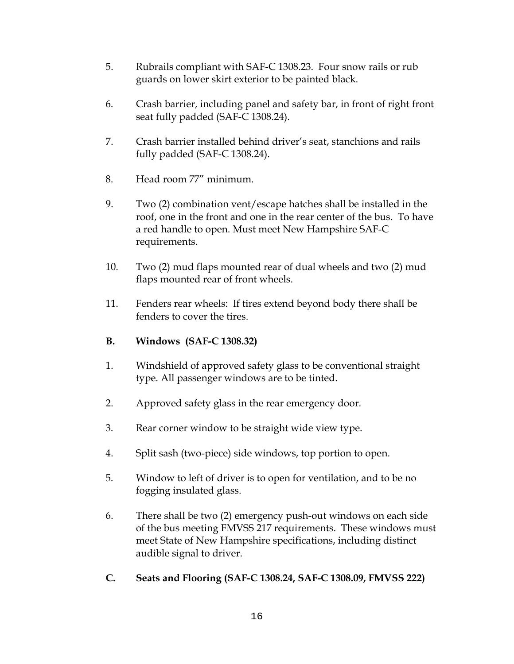- 5. Rubrails compliant with SAF-C 1308.23. Four snow rails or rub guards on lower skirt exterior to be painted black.
- 6. Crash barrier, including panel and safety bar, in front of right front seat fully padded (SAF-C 1308.24).
- 7. Crash barrier installed behind driver's seat, stanchions and rails fully padded (SAF-C 1308.24).
- 8. Head room 77" minimum.
- 9. Two (2) combination vent/escape hatches shall be installed in the roof, one in the front and one in the rear center of the bus. To have a red handle to open. Must meet New Hampshire SAF-C requirements.
- 10. Two (2) mud flaps mounted rear of dual wheels and two (2) mud flaps mounted rear of front wheels.
- 11. Fenders rear wheels: If tires extend beyond body there shall be fenders to cover the tires.
- **B. Windows (SAF-C 1308.32)**
- 1. Windshield of approved safety glass to be conventional straight type. All passenger windows are to be tinted.
- 2. Approved safety glass in the rear emergency door.
- 3. Rear corner window to be straight wide view type.
- 4. Split sash (two-piece) side windows, top portion to open.
- 5. Window to left of driver is to open for ventilation, and to be no fogging insulated glass.
- 6. There shall be two (2) emergency push-out windows on each side of the bus meeting FMVSS 217 requirements. These windows must meet State of New Hampshire specifications, including distinct audible signal to driver.
- **C. Seats and Flooring (SAF-C 1308.24, SAF-C 1308.09, FMVSS 222)**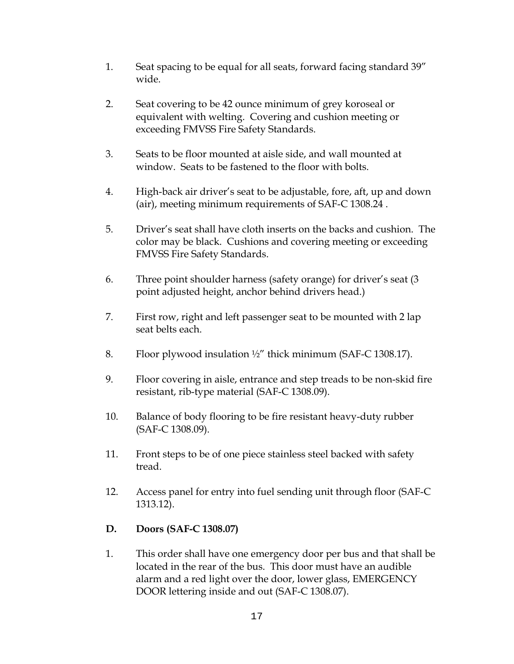- 1. Seat spacing to be equal for all seats, forward facing standard 39" wide.
- 2. Seat covering to be 42 ounce minimum of grey koroseal or equivalent with welting. Covering and cushion meeting or exceeding FMVSS Fire Safety Standards.
- 3. Seats to be floor mounted at aisle side, and wall mounted at window. Seats to be fastened to the floor with bolts.
- 4. High-back air driver's seat to be adjustable, fore, aft, up and down (air), meeting minimum requirements of SAF-C 1308.24 .
- 5. Driver's seat shall have cloth inserts on the backs and cushion. The color may be black. Cushions and covering meeting or exceeding FMVSS Fire Safety Standards.
- 6. Three point shoulder harness (safety orange) for driver's seat (3 point adjusted height, anchor behind drivers head.)
- 7. First row, right and left passenger seat to be mounted with 2 lap seat belts each.
- 8. Floor plywood insulation ½" thick minimum (SAF-C 1308.17).
- 9. Floor covering in aisle, entrance and step treads to be non-skid fire resistant, rib-type material (SAF-C 1308.09).
- 10. Balance of body flooring to be fire resistant heavy-duty rubber (SAF-C 1308.09).
- 11. Front steps to be of one piece stainless steel backed with safety tread.
- 12. Access panel for entry into fuel sending unit through floor (SAF-C 1313.12).

## **D. Doors (SAF-C 1308.07)**

1. This order shall have one emergency door per bus and that shall be located in the rear of the bus. This door must have an audible alarm and a red light over the door, lower glass, EMERGENCY DOOR lettering inside and out (SAF-C 1308.07).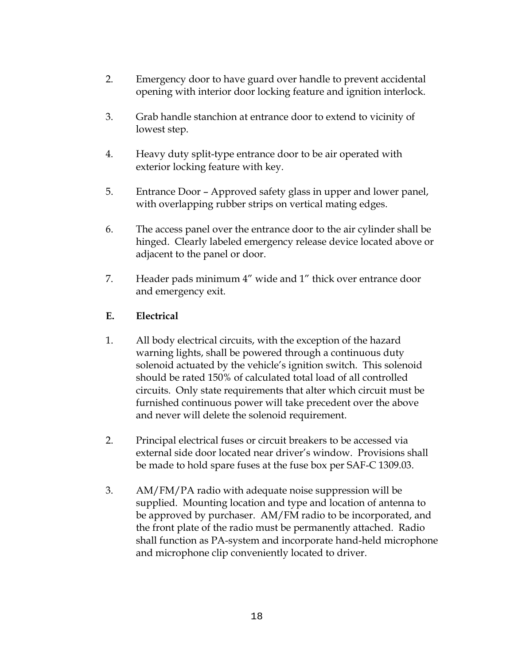- 2. Emergency door to have guard over handle to prevent accidental opening with interior door locking feature and ignition interlock.
- 3. Grab handle stanchion at entrance door to extend to vicinity of lowest step.
- 4. Heavy duty split-type entrance door to be air operated with exterior locking feature with key.
- 5. Entrance Door Approved safety glass in upper and lower panel, with overlapping rubber strips on vertical mating edges.
- 6. The access panel over the entrance door to the air cylinder shall be hinged. Clearly labeled emergency release device located above or adjacent to the panel or door.
- 7. Header pads minimum 4" wide and 1" thick over entrance door and emergency exit.

## **E. Electrical**

- 1. All body electrical circuits, with the exception of the hazard warning lights, shall be powered through a continuous duty solenoid actuated by the vehicle's ignition switch. This solenoid should be rated 150% of calculated total load of all controlled circuits. Only state requirements that alter which circuit must be furnished continuous power will take precedent over the above and never will delete the solenoid requirement.
- 2. Principal electrical fuses or circuit breakers to be accessed via external side door located near driver's window. Provisions shall be made to hold spare fuses at the fuse box per SAF-C 1309.03.
- 3. AM/FM/PA radio with adequate noise suppression will be supplied. Mounting location and type and location of antenna to be approved by purchaser. AM/FM radio to be incorporated, and the front plate of the radio must be permanently attached. Radio shall function as PA-system and incorporate hand-held microphone and microphone clip conveniently located to driver.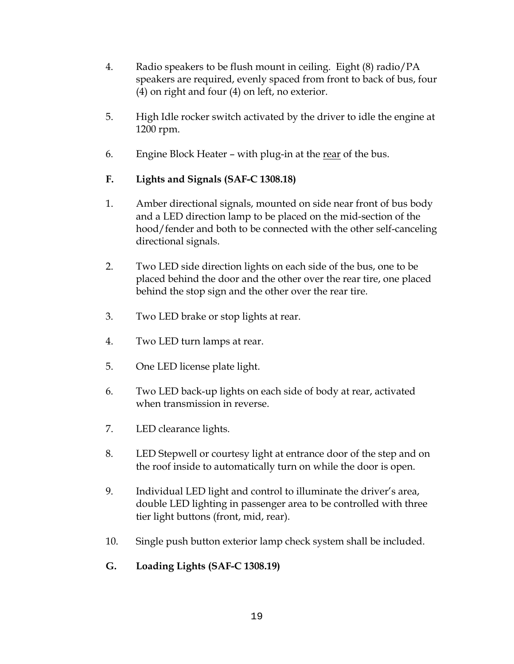- 4. Radio speakers to be flush mount in ceiling. Eight (8) radio/PA speakers are required, evenly spaced from front to back of bus, four (4) on right and four (4) on left, no exterior.
- 5. High Idle rocker switch activated by the driver to idle the engine at 1200 rpm.
- 6. Engine Block Heater with plug-in at the rear of the bus.

## **F. Lights and Signals (SAF-C 1308.18)**

- 1. Amber directional signals, mounted on side near front of bus body and a LED direction lamp to be placed on the mid-section of the hood/fender and both to be connected with the other self-canceling directional signals.
- 2. Two LED side direction lights on each side of the bus, one to be placed behind the door and the other over the rear tire, one placed behind the stop sign and the other over the rear tire.
- 3. Two LED brake or stop lights at rear.
- 4. Two LED turn lamps at rear.
- 5. One LED license plate light.
- 6. Two LED back-up lights on each side of body at rear, activated when transmission in reverse.
- 7. LED clearance lights.
- 8. LED Stepwell or courtesy light at entrance door of the step and on the roof inside to automatically turn on while the door is open.
- 9. Individual LED light and control to illuminate the driver's area, double LED lighting in passenger area to be controlled with three tier light buttons (front, mid, rear).
- 10. Single push button exterior lamp check system shall be included.
- **G. Loading Lights (SAF-C 1308.19)**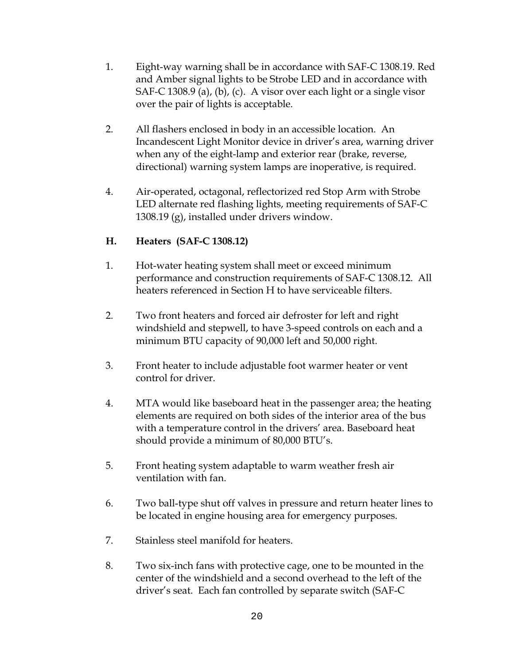- 1. Eight-way warning shall be in accordance with SAF-C 1308.19. Red and Amber signal lights to be Strobe LED and in accordance with SAF-C 1308.9 (a), (b), (c). A visor over each light or a single visor over the pair of lights is acceptable.
- 2. All flashers enclosed in body in an accessible location. An Incandescent Light Monitor device in driver's area, warning driver when any of the eight-lamp and exterior rear (brake, reverse, directional) warning system lamps are inoperative, is required.
- 4. Air-operated, octagonal, reflectorized red Stop Arm with Strobe LED alternate red flashing lights, meeting requirements of SAF-C 1308.19 (g), installed under drivers window.

## **H. Heaters (SAF-C 1308.12)**

- 1. Hot-water heating system shall meet or exceed minimum performance and construction requirements of SAF-C 1308.12. All heaters referenced in Section H to have serviceable filters.
- 2. Two front heaters and forced air defroster for left and right windshield and stepwell, to have 3-speed controls on each and a minimum BTU capacity of 90,000 left and 50,000 right.
- 3. Front heater to include adjustable foot warmer heater or vent control for driver.
- 4. MTA would like baseboard heat in the passenger area; the heating elements are required on both sides of the interior area of the bus with a temperature control in the drivers' area. Baseboard heat should provide a minimum of 80,000 BTU's.
- 5. Front heating system adaptable to warm weather fresh air ventilation with fan.
- 6. Two ball-type shut off valves in pressure and return heater lines to be located in engine housing area for emergency purposes.
- 7. Stainless steel manifold for heaters.
- 8. Two six-inch fans with protective cage, one to be mounted in the center of the windshield and a second overhead to the left of the driver's seat. Each fan controlled by separate switch (SAF-C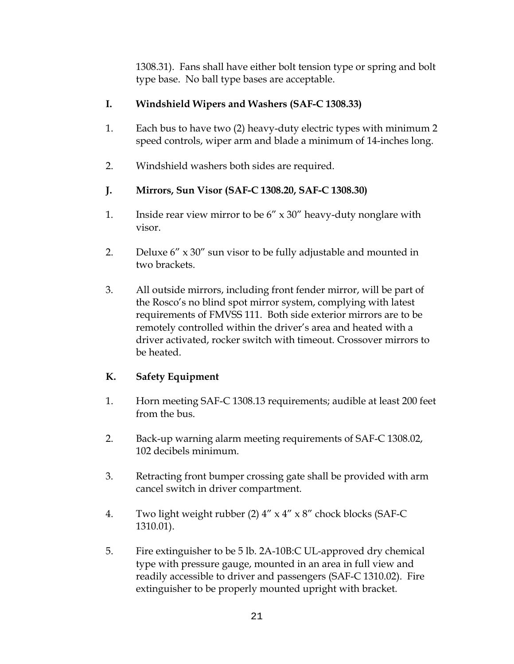1308.31). Fans shall have either bolt tension type or spring and bolt type base. No ball type bases are acceptable.

## **I. Windshield Wipers and Washers (SAF-C 1308.33)**

- 1. Each bus to have two (2) heavy-duty electric types with minimum 2 speed controls, wiper arm and blade a minimum of 14-inches long.
- 2. Windshield washers both sides are required.

## **J. Mirrors, Sun Visor (SAF-C 1308.20, SAF-C 1308.30)**

- 1. Inside rear view mirror to be  $6'' \times 30''$  heavy-duty nonglare with visor.
- 2. Deluxe 6" x 30" sun visor to be fully adjustable and mounted in two brackets.
- 3. All outside mirrors, including front fender mirror, will be part of the Rosco's no blind spot mirror system, complying with latest requirements of FMVSS 111. Both side exterior mirrors are to be remotely controlled within the driver's area and heated with a driver activated, rocker switch with timeout. Crossover mirrors to be heated.

## **K. Safety Equipment**

- 1. Horn meeting SAF-C 1308.13 requirements; audible at least 200 feet from the bus.
- 2. Back-up warning alarm meeting requirements of SAF-C 1308.02, 102 decibels minimum.
- 3. Retracting front bumper crossing gate shall be provided with arm cancel switch in driver compartment.
- 4. Two light weight rubber (2) 4" x 4" x 8" chock blocks (SAF-C 1310.01).
- 5. Fire extinguisher to be 5 lb. 2A-10B:C UL-approved dry chemical type with pressure gauge, mounted in an area in full view and readily accessible to driver and passengers (SAF-C 1310.02). Fire extinguisher to be properly mounted upright with bracket.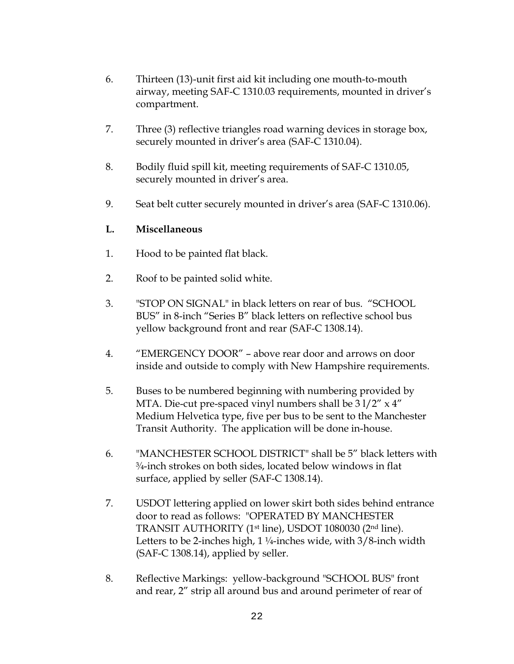- 6. Thirteen (13)-unit first aid kit including one mouth-to-mouth airway, meeting SAF-C 1310.03 requirements, mounted in driver's compartment.
- 7. Three (3) reflective triangles road warning devices in storage box, securely mounted in driver's area (SAF-C 1310.04).
- 8. Bodily fluid spill kit, meeting requirements of SAF-C 1310.05, securely mounted in driver's area.
- 9. Seat belt cutter securely mounted in driver's area (SAF-C 1310.06).

### **L. Miscellaneous**

- 1. Hood to be painted flat black.
- 2. Roof to be painted solid white.
- 3. "STOP ON SIGNAL" in black letters on rear of bus. "SCHOOL BUS" in 8-inch "Series B" black letters on reflective school bus yellow background front and rear (SAF-C 1308.14).
- 4. "EMERGENCY DOOR" above rear door and arrows on door inside and outside to comply with New Hampshire requirements.
- 5. Buses to be numbered beginning with numbering provided by MTA. Die-cut pre-spaced vinyl numbers shall be  $31/2''$  x  $4''$ Medium Helvetica type, five per bus to be sent to the Manchester Transit Authority. The application will be done in-house.
- 6. "MANCHESTER SCHOOL DISTRICT" shall be 5" black letters with ¾-inch strokes on both sides, located below windows in flat surface, applied by seller (SAF-C 1308.14).
- 7. USDOT lettering applied on lower skirt both sides behind entrance door to read as follows: "OPERATED BY MANCHESTER TRANSIT AUTHORITY (1st line), USDOT 1080030 (2nd line). Letters to be 2-inches high,  $1\frac{1}{4}$ -inches wide, with  $3/8$ -inch width (SAF-C 1308.14), applied by seller.
- 8. Reflective Markings: yellow-background "SCHOOL BUS" front and rear, 2" strip all around bus and around perimeter of rear of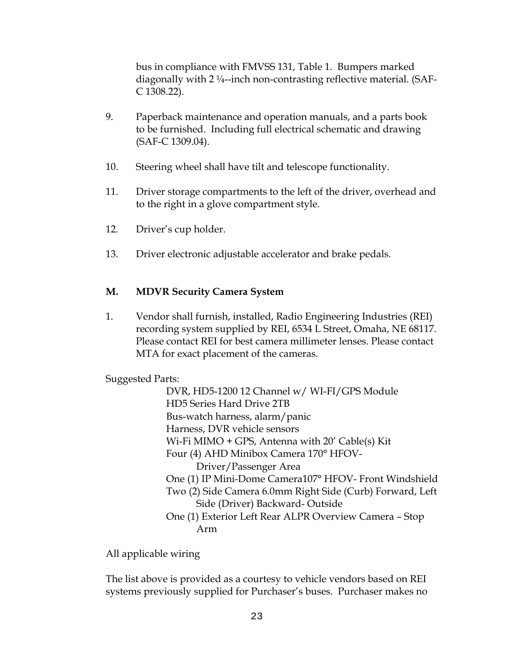bus in compliance with FMVSS 131, Table 1. Bumpers marked diagonally with 2 ¼--inch non-contrasting reflective material. (SAF-C 1308.22).

- 9. Paperback maintenance and operation manuals, and a parts book to be furnished. Including full electrical schematic and drawing (SAF-C 1309.04).
- 10. Steering wheel shall have tilt and telescope functionality.
- 11. Driver storage compartments to the left of the driver, overhead and to the right in a glove compartment style.
- 12. Driver's cup holder.
- 13. Driver electronic adjustable accelerator and brake pedals.

### **M. MDVR Security Camera System**

1. Vendor shall furnish, installed, Radio Engineering Industries (REI) recording system supplied by REI, 6534 L Street, Omaha, NE 68117. Please contact REI for best camera millimeter lenses. Please contact MTA for exact placement of the cameras.

Suggested Parts:

DVR, HD5-1200 12 Channel w/ WI-FI/GPS Module HD5 Series Hard Drive 2TB Bus-watch harness, alarm/panic Harness, DVR vehicle sensors Wi-Fi MIMO + GPS, Antenna with 20' Cable(s) Kit Four (4) AHD Minibox Camera 170° HFOV-Driver/Passenger Area One (1) IP Mini-Dome Camera107° HFOV- Front Windshield Two (2) Side Camera 6.0mm Right Side (Curb) Forward, Left Side (Driver) Backward- Outside One (1) Exterior Left Rear ALPR Overview Camera – Stop Arm

All applicable wiring

The list above is provided as a courtesy to vehicle vendors based on REI systems previously supplied for Purchaser's buses. Purchaser makes no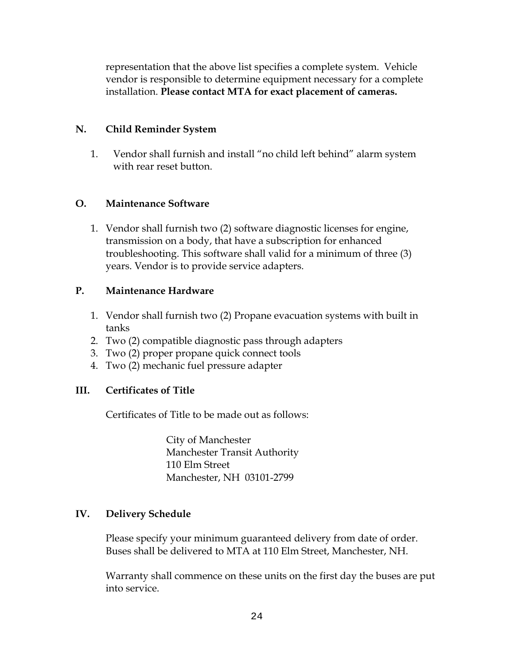representation that the above list specifies a complete system. Vehicle vendor is responsible to determine equipment necessary for a complete installation. **Please contact MTA for exact placement of cameras.** 

## **N. Child Reminder System**

1. Vendor shall furnish and install "no child left behind" alarm system with rear reset button.

### **O. Maintenance Software**

1. Vendor shall furnish two (2) software diagnostic licenses for engine, transmission on a body, that have a subscription for enhanced troubleshooting. This software shall valid for a minimum of three (3) years. Vendor is to provide service adapters.

### **P. Maintenance Hardware**

- 1. Vendor shall furnish two (2) Propane evacuation systems with built in tanks
- 2. Two (2) compatible diagnostic pass through adapters
- 3. Two (2) proper propane quick connect tools
- 4. Two (2) mechanic fuel pressure adapter

#### **III. Certificates of Title**

Certificates of Title to be made out as follows:

 City of Manchester Manchester Transit Authority 110 Elm Street Manchester, NH 03101-2799

#### **IV. Delivery Schedule**

 Please specify your minimum guaranteed delivery from date of order. Buses shall be delivered to MTA at 110 Elm Street, Manchester, NH.

Warranty shall commence on these units on the first day the buses are put into service.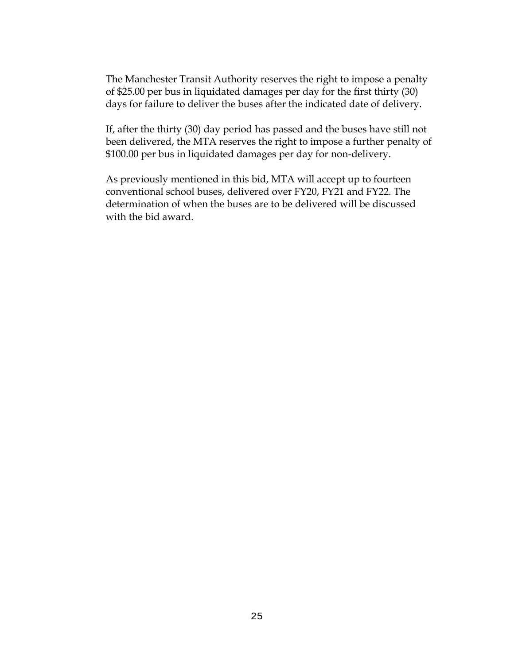The Manchester Transit Authority reserves the right to impose a penalty of \$25.00 per bus in liquidated damages per day for the first thirty (30) days for failure to deliver the buses after the indicated date of delivery.

If, after the thirty (30) day period has passed and the buses have still not been delivered, the MTA reserves the right to impose a further penalty of \$100.00 per bus in liquidated damages per day for non-delivery.

 As previously mentioned in this bid, MTA will accept up to fourteen conventional school buses, delivered over FY20, FY21 and FY22. The determination of when the buses are to be delivered will be discussed with the bid award.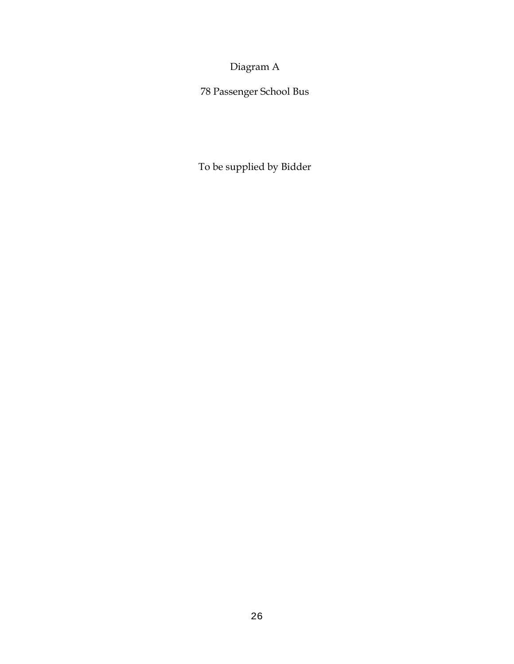Diagram A

78 Passenger School Bus

To be supplied by Bidder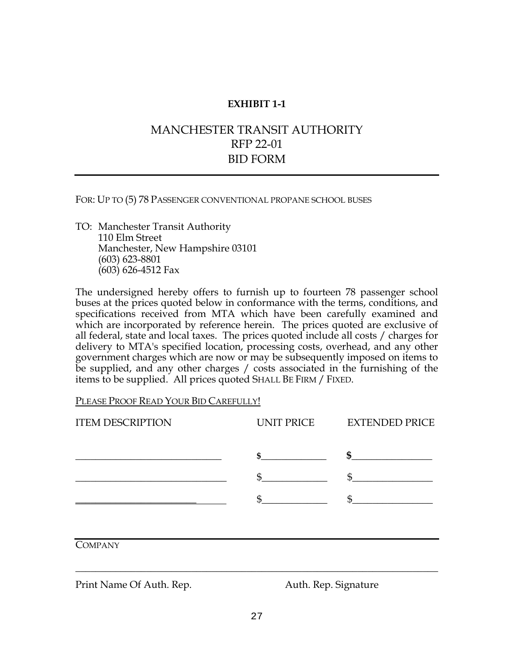## MANCHESTER TRANSIT AUTHORITY RFP 22-01 BID FORM

FOR: UP TO (5) 78 PASSENGER CONVENTIONAL PROPANE SCHOOL BUSES

TO: Manchester Transit Authority 110 Elm Street Manchester, New Hampshire 03101 (603) 623-8801 (603) 626-4512 Fax

The undersigned hereby offers to furnish up to fourteen 78 passenger school buses at the prices quoted below in conformance with the terms, conditions, and specifications received from MTA which have been carefully examined and which are incorporated by reference herein. The prices quoted are exclusive of all federal, state and local taxes. The prices quoted include all costs / charges for delivery to MTA's specified location, processing costs, overhead, and any other government charges which are now or may be subsequently imposed on items to be supplied, and any other charges / costs associated in the furnishing of the items to be supplied. All prices quoted SHALL BE FIRM / FIXED.

PLEASE PROOF READ YOUR BID CAREFULLY!

| <b>ITEM DESCRIPTION</b> | UNIT PRICE | <b>EXTENDED PRICE</b>                                 |
|-------------------------|------------|-------------------------------------------------------|
|                         | \$         | \$<br>the contract of the contract of the contract of |
|                         | \$         | $\mathfrak{S}$                                        |
|                         | \$         |                                                       |
|                         |            |                                                       |
| <b>COMPANY</b>          |            |                                                       |
|                         |            |                                                       |

Print Name Of Auth. Rep. **Auth.** Rep. Signature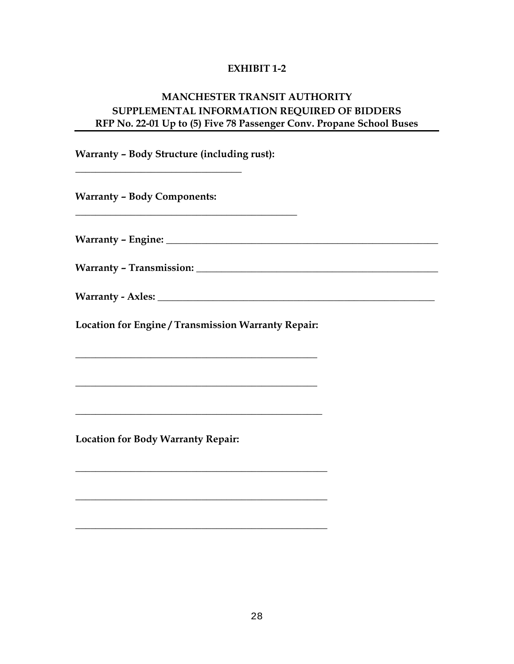## **MANCHESTER TRANSIT AUTHORITY SUPPLEMENTAL INFORMATION REQUIRED OF BIDDERS RFP No. 22-01 Up to (5) Five 78 Passenger Conv. Propane School Buses**

**Warranty – Body Structure (including rust):** 

**\_\_\_\_\_\_\_\_\_\_\_\_\_\_\_\_\_\_\_\_\_\_\_\_\_\_\_\_\_\_\_\_\_\_\_\_\_\_\_\_\_\_\_\_** 

**Warranty – Body Components:** 

**\_\_\_\_\_\_\_\_\_\_\_\_\_\_\_\_\_\_\_\_\_\_\_\_\_\_\_\_\_\_\_\_\_** 

**Warranty – Engine: \_\_\_\_\_\_\_\_\_\_\_\_\_\_\_\_\_\_\_\_\_\_\_\_\_\_\_\_\_\_\_\_\_\_\_\_\_\_\_\_\_\_\_\_\_\_\_\_\_\_\_\_\_\_** 

Warranty - Transmission: **Warranty - Transmission:** 

**Warranty - Axles: \_\_\_\_\_\_\_\_\_\_\_\_\_\_\_\_\_\_\_\_\_\_\_\_\_\_\_\_\_\_\_\_\_\_\_\_\_\_\_\_\_\_\_\_\_\_\_\_\_\_\_\_\_\_\_** 

**Location for Engine / Transmission Warranty Repair:** 

**\_\_\_\_\_\_\_\_\_\_\_\_\_\_\_\_\_\_\_\_\_\_\_\_\_\_\_\_\_\_\_\_\_\_\_\_\_\_\_\_\_\_\_\_\_\_\_\_** 

**\_\_\_\_\_\_\_\_\_\_\_\_\_\_\_\_\_\_\_\_\_\_\_\_\_\_\_\_\_\_\_\_\_\_\_\_\_\_\_\_\_\_\_\_\_\_\_\_** 

**\_\_\_\_\_\_\_\_\_\_\_\_\_\_\_\_\_\_\_\_\_\_\_\_\_\_\_\_\_\_\_\_\_\_\_\_\_\_\_\_\_\_\_\_\_\_\_\_\_** 

**\_\_\_\_\_\_\_\_\_\_\_\_\_\_\_\_\_\_\_\_\_\_\_\_\_\_\_\_\_\_\_\_\_\_\_\_\_\_\_\_\_\_\_\_\_\_\_\_\_\_** 

**\_\_\_\_\_\_\_\_\_\_\_\_\_\_\_\_\_\_\_\_\_\_\_\_\_\_\_\_\_\_\_\_\_\_\_\_\_\_\_\_\_\_\_\_\_\_\_\_\_\_** 

**\_\_\_\_\_\_\_\_\_\_\_\_\_\_\_\_\_\_\_\_\_\_\_\_\_\_\_\_\_\_\_\_\_\_\_\_\_\_\_\_\_\_\_\_\_\_\_\_\_\_** 

**Location for Body Warranty Repair:**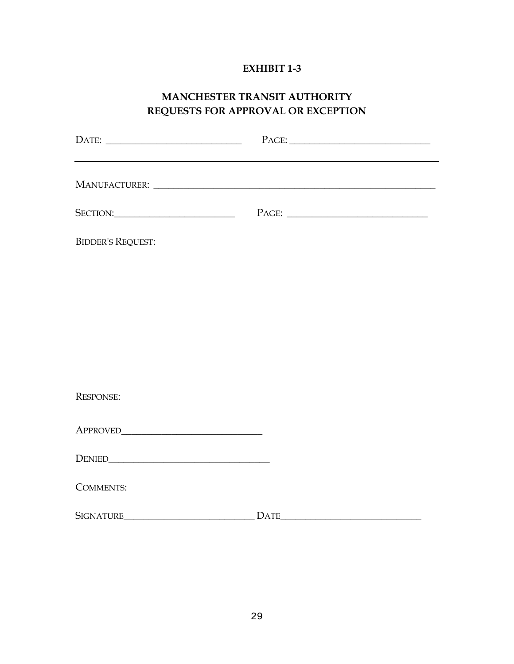## **MANCHESTER TRANSIT AUTHORITY REQUESTS FOR APPROVAL OR EXCEPTION**

| <b>BIDDER'S REQUEST:</b> |  |
|--------------------------|--|
|                          |  |
|                          |  |
|                          |  |
|                          |  |
| <b>RESPONSE:</b>         |  |
|                          |  |
|                          |  |
| <b>COMMENTS:</b>         |  |

SIGNATURE\_\_\_\_\_\_\_\_\_\_\_\_\_\_\_\_\_\_\_\_\_\_\_\_\_\_ DATE\_\_\_\_\_\_\_\_\_\_\_\_\_\_\_\_\_\_\_\_\_\_\_\_\_\_\_\_